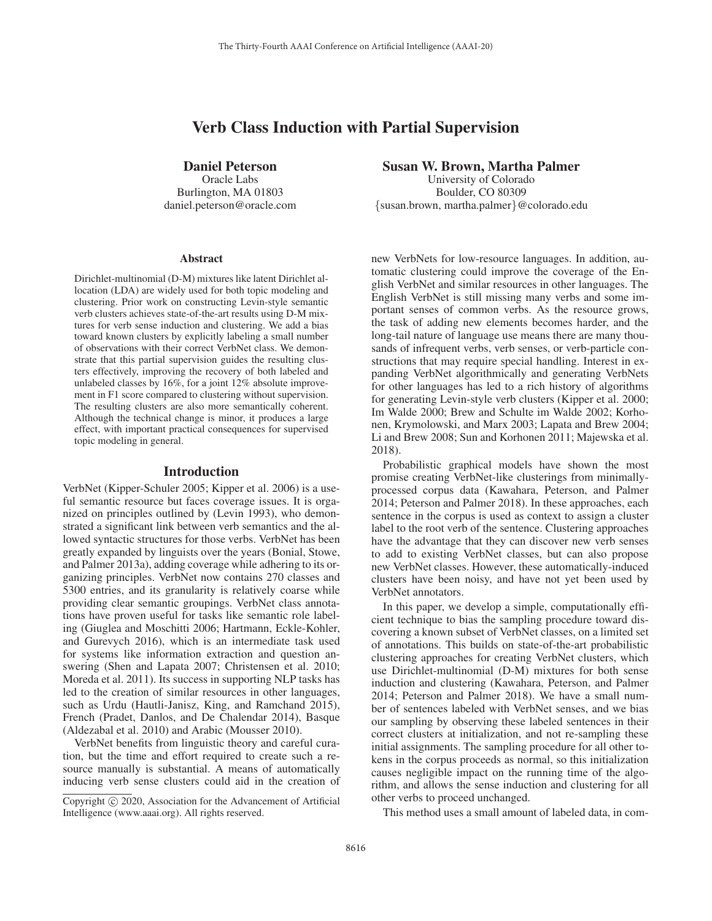# Verb Class Induction with Partial Supervision

## Daniel Peterson

Oracle Labs Burlington, MA 01803 daniel.peterson@oracle.com

#### **Abstract**

Dirichlet-multinomial (D-M) mixtures like latent Dirichlet allocation (LDA) are widely used for both topic modeling and clustering. Prior work on constructing Levin-style semantic verb clusters achieves state-of-the-art results using D-M mixtures for verb sense induction and clustering. We add a bias toward known clusters by explicitly labeling a small number of observations with their correct VerbNet class. We demonstrate that this partial supervision guides the resulting clusters effectively, improving the recovery of both labeled and unlabeled classes by 16%, for a joint 12% absolute improvement in F1 score compared to clustering without supervision. The resulting clusters are also more semantically coherent. Although the technical change is minor, it produces a large effect, with important practical consequences for supervised topic modeling in general.

#### Introduction

VerbNet (Kipper-Schuler 2005; Kipper et al. 2006) is a useful semantic resource but faces coverage issues. It is organized on principles outlined by (Levin 1993), who demonstrated a significant link between verb semantics and the allowed syntactic structures for those verbs. VerbNet has been greatly expanded by linguists over the years (Bonial, Stowe, and Palmer 2013a), adding coverage while adhering to its organizing principles. VerbNet now contains 270 classes and 5300 entries, and its granularity is relatively coarse while providing clear semantic groupings. VerbNet class annotations have proven useful for tasks like semantic role labeling (Giuglea and Moschitti 2006; Hartmann, Eckle-Kohler, and Gurevych 2016), which is an intermediate task used for systems like information extraction and question answering (Shen and Lapata 2007; Christensen et al. 2010; Moreda et al. 2011). Its success in supporting NLP tasks has led to the creation of similar resources in other languages, such as Urdu (Hautli-Janisz, King, and Ramchand 2015), French (Pradet, Danlos, and De Chalendar 2014), Basque (Aldezabal et al. 2010) and Arabic (Mousser 2010).

VerbNet benefits from linguistic theory and careful curation, but the time and effort required to create such a resource manually is substantial. A means of automatically inducing verb sense clusters could aid in the creation of Susan W. Brown, Martha Palmer

University of Colorado Boulder, CO 80309 {susan.brown, martha.palmer}@colorado.edu

new VerbNets for low-resource languages. In addition, automatic clustering could improve the coverage of the English VerbNet and similar resources in other languages. The English VerbNet is still missing many verbs and some important senses of common verbs. As the resource grows, the task of adding new elements becomes harder, and the long-tail nature of language use means there are many thousands of infrequent verbs, verb senses, or verb-particle constructions that may require special handling. Interest in expanding VerbNet algorithmically and generating VerbNets for other languages has led to a rich history of algorithms for generating Levin-style verb clusters (Kipper et al. 2000; Im Walde 2000; Brew and Schulte im Walde 2002; Korhonen, Krymolowski, and Marx 2003; Lapata and Brew 2004; Li and Brew 2008; Sun and Korhonen 2011; Majewska et al. 2018).

Probabilistic graphical models have shown the most promise creating VerbNet-like clusterings from minimallyprocessed corpus data (Kawahara, Peterson, and Palmer 2014; Peterson and Palmer 2018). In these approaches, each sentence in the corpus is used as context to assign a cluster label to the root verb of the sentence. Clustering approaches have the advantage that they can discover new verb senses to add to existing VerbNet classes, but can also propose new VerbNet classes. However, these automatically-induced clusters have been noisy, and have not yet been used by VerbNet annotators.

In this paper, we develop a simple, computationally efficient technique to bias the sampling procedure toward discovering a known subset of VerbNet classes, on a limited set of annotations. This builds on state-of-the-art probabilistic clustering approaches for creating VerbNet clusters, which use Dirichlet-multinomial (D-M) mixtures for both sense induction and clustering (Kawahara, Peterson, and Palmer 2014; Peterson and Palmer 2018). We have a small number of sentences labeled with VerbNet senses, and we bias our sampling by observing these labeled sentences in their correct clusters at initialization, and not re-sampling these initial assignments. The sampling procedure for all other tokens in the corpus proceeds as normal, so this initialization causes negligible impact on the running time of the algorithm, and allows the sense induction and clustering for all other verbs to proceed unchanged.

This method uses a small amount of labeled data, in com-

Copyright  $\odot$  2020, Association for the Advancement of Artificial Intelligence (www.aaai.org). All rights reserved.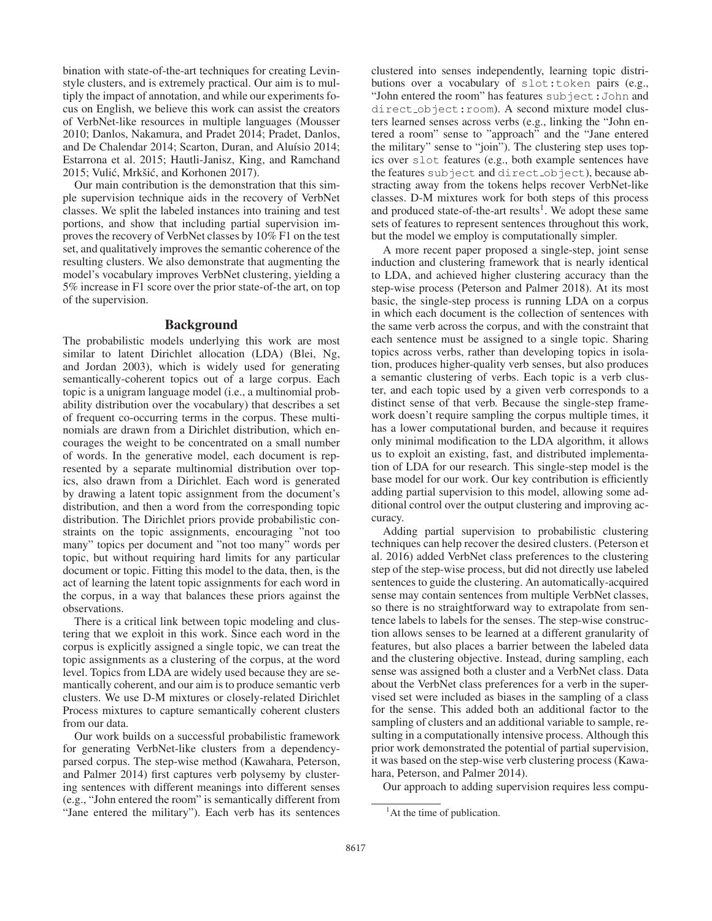bination with state-of-the-art techniques for creating Levinstyle clusters, and is extremely practical. Our aim is to multiply the impact of annotation, and while our experiments focus on English, we believe this work can assist the creators of VerbNet-like resources in multiple languages (Mousser 2010; Danlos, Nakamura, and Pradet 2014; Pradet, Danlos, and De Chalendar 2014; Scarton, Duran, and Aluísio 2014; Estarrona et al. 2015; Hautli-Janisz, King, and Ramchand 2015; Vulić, Mrkšić, and Korhonen 2017).

Our main contribution is the demonstration that this simple supervision technique aids in the recovery of VerbNet classes. We split the labeled instances into training and test portions, and show that including partial supervision improves the recovery of VerbNet classes by 10% F1 on the test set, and qualitatively improves the semantic coherence of the resulting clusters. We also demonstrate that augmenting the model's vocabulary improves VerbNet clustering, yielding a 5% increase in F1 score over the prior state-of-the art, on top of the supervision.

### Background

The probabilistic models underlying this work are most similar to latent Dirichlet allocation (LDA) (Blei, Ng, and Jordan 2003), which is widely used for generating semantically-coherent topics out of a large corpus. Each topic is a unigram language model (i.e., a multinomial probability distribution over the vocabulary) that describes a set of frequent co-occurring terms in the corpus. These multinomials are drawn from a Dirichlet distribution, which encourages the weight to be concentrated on a small number of words. In the generative model, each document is represented by a separate multinomial distribution over topics, also drawn from a Dirichlet. Each word is generated by drawing a latent topic assignment from the document's distribution, and then a word from the corresponding topic distribution. The Dirichlet priors provide probabilistic constraints on the topic assignments, encouraging "not too many" topics per document and "not too many" words per topic, but without requiring hard limits for any particular document or topic. Fitting this model to the data, then, is the act of learning the latent topic assignments for each word in the corpus, in a way that balances these priors against the observations.

There is a critical link between topic modeling and clustering that we exploit in this work. Since each word in the corpus is explicitly assigned a single topic, we can treat the topic assignments as a clustering of the corpus, at the word level. Topics from LDA are widely used because they are semantically coherent, and our aim is to produce semantic verb clusters. We use D-M mixtures or closely-related Dirichlet Process mixtures to capture semantically coherent clusters from our data.

Our work builds on a successful probabilistic framework for generating VerbNet-like clusters from a dependencyparsed corpus. The step-wise method (Kawahara, Peterson, and Palmer 2014) first captures verb polysemy by clustering sentences with different meanings into different senses (e.g., "John entered the room" is semantically different from "Jane entered the military"). Each verb has its sentences

clustered into senses independently, learning topic distributions over a vocabulary of slot:token pairs (e.g., "John entered the room" has features subject:John and direct object:room). A second mixture model clusters learned senses across verbs (e.g., linking the "John entered a room" sense to "approach" and the "Jane entered the military" sense to "join"). The clustering step uses topics over slot features (e.g., both example sentences have the features subject and direct object), because abstracting away from the tokens helps recover VerbNet-like classes. D-M mixtures work for both steps of this process and produced state-of-the-art results<sup>1</sup>. We adopt these same sets of features to represent sentences throughout this work, but the model we employ is computationally simpler.

A more recent paper proposed a single-step, joint sense induction and clustering framework that is nearly identical to LDA, and achieved higher clustering accuracy than the step-wise process (Peterson and Palmer 2018). At its most basic, the single-step process is running LDA on a corpus in which each document is the collection of sentences with the same verb across the corpus, and with the constraint that each sentence must be assigned to a single topic. Sharing topics across verbs, rather than developing topics in isolation, produces higher-quality verb senses, but also produces a semantic clustering of verbs. Each topic is a verb cluster, and each topic used by a given verb corresponds to a distinct sense of that verb. Because the single-step framework doesn't require sampling the corpus multiple times, it has a lower computational burden, and because it requires only minimal modification to the LDA algorithm, it allows us to exploit an existing, fast, and distributed implementation of LDA for our research. This single-step model is the base model for our work. Our key contribution is efficiently adding partial supervision to this model, allowing some additional control over the output clustering and improving accuracy.

Adding partial supervision to probabilistic clustering techniques can help recover the desired clusters. (Peterson et al. 2016) added VerbNet class preferences to the clustering step of the step-wise process, but did not directly use labeled sentences to guide the clustering. An automatically-acquired sense may contain sentences from multiple VerbNet classes, so there is no straightforward way to extrapolate from sentence labels to labels for the senses. The step-wise construction allows senses to be learned at a different granularity of features, but also places a barrier between the labeled data and the clustering objective. Instead, during sampling, each sense was assigned both a cluster and a VerbNet class. Data about the VerbNet class preferences for a verb in the supervised set were included as biases in the sampling of a class for the sense. This added both an additional factor to the sampling of clusters and an additional variable to sample, resulting in a computationally intensive process. Although this prior work demonstrated the potential of partial supervision, it was based on the step-wise verb clustering process (Kawahara, Peterson, and Palmer 2014).

Our approach to adding supervision requires less compu-

<sup>&</sup>lt;sup>1</sup>At the time of publication.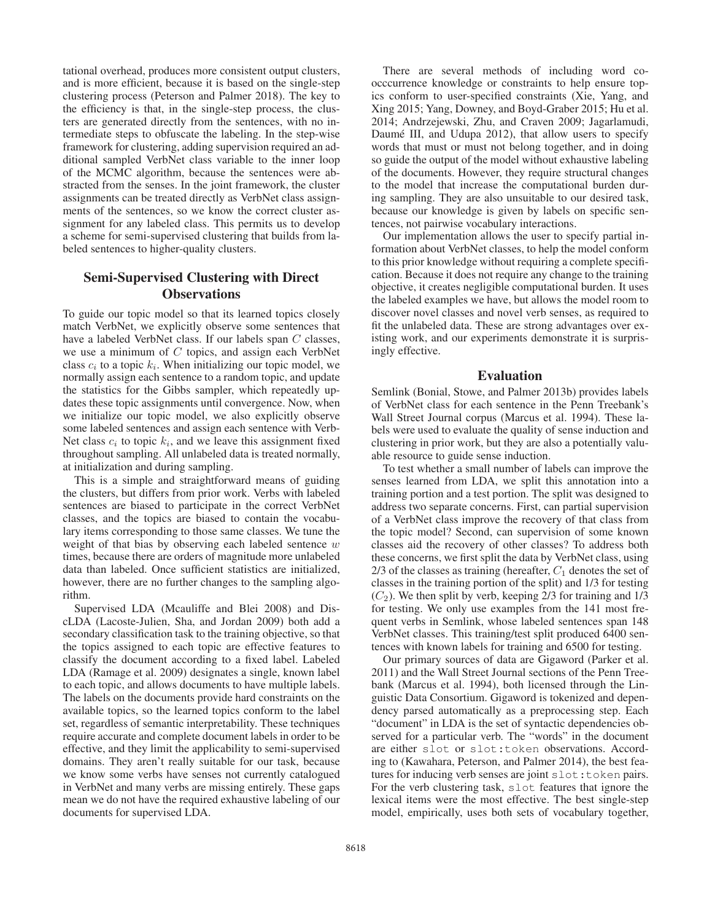tational overhead, produces more consistent output clusters, and is more efficient, because it is based on the single-step clustering process (Peterson and Palmer 2018). The key to the efficiency is that, in the single-step process, the clusters are generated directly from the sentences, with no intermediate steps to obfuscate the labeling. In the step-wise framework for clustering, adding supervision required an additional sampled VerbNet class variable to the inner loop of the MCMC algorithm, because the sentences were abstracted from the senses. In the joint framework, the cluster assignments can be treated directly as VerbNet class assignments of the sentences, so we know the correct cluster assignment for any labeled class. This permits us to develop a scheme for semi-supervised clustering that builds from labeled sentences to higher-quality clusters.

## Semi-Supervised Clustering with Direct **Observations**

To guide our topic model so that its learned topics closely match VerbNet, we explicitly observe some sentences that have a labeled VerbNet class. If our labels span C classes, we use a minimum of  $C$  topics, and assign each VerbNet class  $c_i$  to a topic  $k_i$ . When initializing our topic model, we normally assign each sentence to a random topic, and update the statistics for the Gibbs sampler, which repeatedly updates these topic assignments until convergence. Now, when we initialize our topic model, we also explicitly observe some labeled sentences and assign each sentence with Verb-Net class  $c_i$  to topic  $k_i$ , and we leave this assignment fixed throughout sampling. All unlabeled data is treated normally, at initialization and during sampling.

This is a simple and straightforward means of guiding the clusters, but differs from prior work. Verbs with labeled sentences are biased to participate in the correct VerbNet classes, and the topics are biased to contain the vocabulary items corresponding to those same classes. We tune the weight of that bias by observing each labeled sentence  $w$ times, because there are orders of magnitude more unlabeled data than labeled. Once sufficient statistics are initialized, however, there are no further changes to the sampling algorithm.

Supervised LDA (Mcauliffe and Blei 2008) and DiscLDA (Lacoste-Julien, Sha, and Jordan 2009) both add a secondary classification task to the training objective, so that the topics assigned to each topic are effective features to classify the document according to a fixed label. Labeled LDA (Ramage et al. 2009) designates a single, known label to each topic, and allows documents to have multiple labels. The labels on the documents provide hard constraints on the available topics, so the learned topics conform to the label set, regardless of semantic interpretability. These techniques require accurate and complete document labels in order to be effective, and they limit the applicability to semi-supervised domains. They aren't really suitable for our task, because we know some verbs have senses not currently catalogued in VerbNet and many verbs are missing entirely. These gaps mean we do not have the required exhaustive labeling of our documents for supervised LDA.

There are several methods of including word coocccurrence knowledge or constraints to help ensure topics conform to user-specified constraints (Xie, Yang, and Xing 2015; Yang, Downey, and Boyd-Graber 2015; Hu et al. 2014; Andrzejewski, Zhu, and Craven 2009; Jagarlamudi, Daumé III, and Udupa 2012), that allow users to specify words that must or must not belong together, and in doing so guide the output of the model without exhaustive labeling of the documents. However, they require structural changes to the model that increase the computational burden during sampling. They are also unsuitable to our desired task, because our knowledge is given by labels on specific sentences, not pairwise vocabulary interactions.

Our implementation allows the user to specify partial information about VerbNet classes, to help the model conform to this prior knowledge without requiring a complete specification. Because it does not require any change to the training objective, it creates negligible computational burden. It uses the labeled examples we have, but allows the model room to discover novel classes and novel verb senses, as required to fit the unlabeled data. These are strong advantages over existing work, and our experiments demonstrate it is surprisingly effective.

#### Evaluation

Semlink (Bonial, Stowe, and Palmer 2013b) provides labels of VerbNet class for each sentence in the Penn Treebank's Wall Street Journal corpus (Marcus et al. 1994). These labels were used to evaluate the quality of sense induction and clustering in prior work, but they are also a potentially valuable resource to guide sense induction.

To test whether a small number of labels can improve the senses learned from LDA, we split this annotation into a training portion and a test portion. The split was designed to address two separate concerns. First, can partial supervision of a VerbNet class improve the recovery of that class from the topic model? Second, can supervision of some known classes aid the recovery of other classes? To address both these concerns, we first split the data by VerbNet class, using  $2/3$  of the classes as training (hereafter,  $C_1$  denotes the set of classes in the training portion of the split) and 1/3 for testing  $(C_2)$ . We then split by verb, keeping 2/3 for training and 1/3 for testing. We only use examples from the 141 most frequent verbs in Semlink, whose labeled sentences span 148 VerbNet classes. This training/test split produced 6400 sentences with known labels for training and 6500 for testing.

Our primary sources of data are Gigaword (Parker et al. 2011) and the Wall Street Journal sections of the Penn Treebank (Marcus et al. 1994), both licensed through the Linguistic Data Consortium. Gigaword is tokenized and dependency parsed automatically as a preprocessing step. Each "document" in LDA is the set of syntactic dependencies observed for a particular verb. The "words" in the document are either slot or slot:token observations. According to (Kawahara, Peterson, and Palmer 2014), the best features for inducing verb senses are joint slot:token pairs. For the verb clustering task, slot features that ignore the lexical items were the most effective. The best single-step model, empirically, uses both sets of vocabulary together,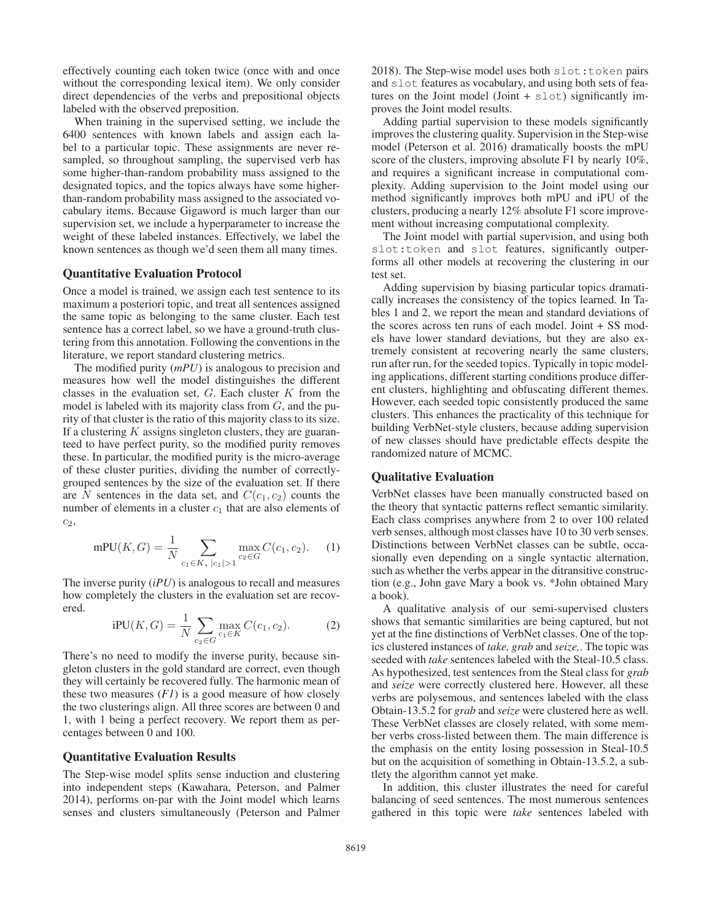effectively counting each token twice (once with and once without the corresponding lexical item). We only consider direct dependencies of the verbs and prepositional objects labeled with the observed preposition.

When training in the supervised setting, we include the 6400 sentences with known labels and assign each label to a particular topic. These assignments are never resampled, so throughout sampling, the supervised verb has some higher-than-random probability mass assigned to the designated topics, and the topics always have some higherthan-random probability mass assigned to the associated vocabulary items. Because Gigaword is much larger than our supervision set, we include a hyperparameter to increase the weight of these labeled instances. Effectively, we label the known sentences as though we'd seen them all many times.

#### Quantitative Evaluation Protocol

Once a model is trained, we assign each test sentence to its maximum a posteriori topic, and treat all sentences assigned the same topic as belonging to the same cluster. Each test sentence has a correct label, so we have a ground-truth clustering from this annotation. Following the conventions in the literature, we report standard clustering metrics.

The modified purity (*mPU*) is analogous to precision and measures how well the model distinguishes the different classes in the evaluation set,  $G$ . Each cluster  $K$  from the model is labeled with its majority class from  $G$ , and the purity of that cluster is the ratio of this majority class to its size. If a clustering  $K$  assigns singleton clusters, they are guaranteed to have perfect purity, so the modified purity removes these. In particular, the modified purity is the micro-average of these cluster purities, dividing the number of correctlygrouped sentences by the size of the evaluation set. If there are N sentences in the data set, and  $C(c_1, c_2)$  counts the number of elements in a cluster  $c_1$  that are also elements of  $c_2$ ,

$$
mPU(K, G) = \frac{1}{N} \sum_{c_1 \in K, |c_1| > 1} \max_{c_2 \in G} C(c_1, c_2).
$$
 (1)

The inverse purity (*iPU*) is analogous to recall and measures how completely the clusters in the evaluation set are recovered.

iPU(K, G) = 
$$
\frac{1}{N} \sum_{c_2 \in G} \max_{c_1 \in K} C(c_1, c_2)
$$
. (2)

There's no need to modify the inverse purity, because singleton clusters in the gold standard are correct, even though they will certainly be recovered fully. The harmonic mean of these two measures  $(F1)$  is a good measure of how closely the two clusterings align. All three scores are between 0 and 1, with 1 being a perfect recovery. We report them as percentages between 0 and 100.

#### Quantitative Evaluation Results

The Step-wise model splits sense induction and clustering into independent steps (Kawahara, Peterson, and Palmer 2014), performs on-par with the Joint model which learns senses and clusters simultaneously (Peterson and Palmer

2018). The Step-wise model uses both slot: token pairs and slot features as vocabulary, and using both sets of features on the Joint model (Joint + slot) significantly improves the Joint model results.

Adding partial supervision to these models significantly improves the clustering quality. Supervision in the Step-wise model (Peterson et al. 2016) dramatically boosts the mPU score of the clusters, improving absolute F1 by nearly 10%, and requires a significant increase in computational complexity. Adding supervision to the Joint model using our method significantly improves both mPU and iPU of the clusters, producing a nearly 12% absolute F1 score improvement without increasing computational complexity.

The Joint model with partial supervision, and using both slot:token and slot features, significantly outperforms all other models at recovering the clustering in our test set.

Adding supervision by biasing particular topics dramatically increases the consistency of the topics learned. In Tables 1 and 2, we report the mean and standard deviations of the scores across ten runs of each model. Joint + SS models have lower standard deviations, but they are also extremely consistent at recovering nearly the same clusters, run after run, for the seeded topics. Typically in topic modeling applications, different starting conditions produce different clusters, highlighting and obfuscating different themes. However, each seeded topic consistently produced the same clusters. This enhances the practicality of this technique for building VerbNet-style clusters, because adding supervision of new classes should have predictable effects despite the randomized nature of MCMC.

#### Qualitative Evaluation

VerbNet classes have been manually constructed based on the theory that syntactic patterns reflect semantic similarity. Each class comprises anywhere from 2 to over 100 related verb senses, although most classes have 10 to 30 verb senses. Distinctions between VerbNet classes can be subtle, occasionally even depending on a single syntactic alternation, such as whether the verbs appear in the ditransitive construction (e.g., John gave Mary a book vs. \*John obtained Mary a book).

A qualitative analysis of our semi-supervised clusters shows that semantic similarities are being captured, but not yet at the fine distinctions of VerbNet classes. One of the topics clustered instances of *take, grab* and *seize,*. The topic was seeded with *take* sentences labeled with the Steal-10.5 class. As hypothesized, test sentences from the Steal class for *grab* and *seize* were correctly clustered here. However, all these verbs are polysemous, and sentences labeled with the class Obtain-13.5.2 for *grab* and *seize* were clustered here as well. These VerbNet classes are closely related, with some member verbs cross-listed between them. The main difference is the emphasis on the entity losing possession in Steal-10.5 but on the acquisition of something in Obtain-13.5.2, a subtlety the algorithm cannot yet make.

In addition, this cluster illustrates the need for careful balancing of seed sentences. The most numerous sentences gathered in this topic were *take* sentences labeled with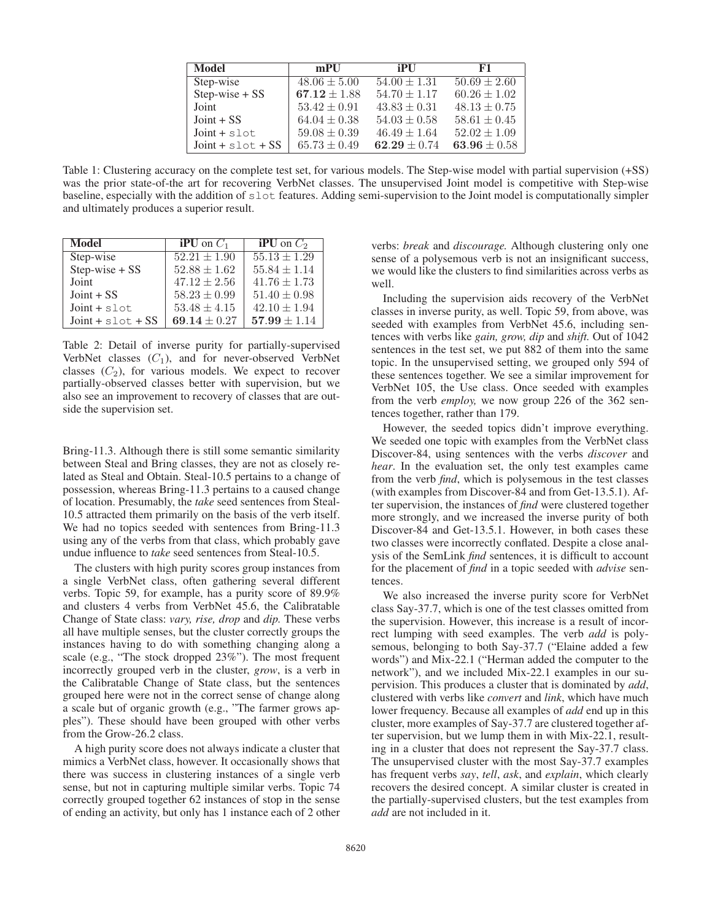| <b>Model</b>        | mPU              | <b>iPU</b>       | F1               |
|---------------------|------------------|------------------|------------------|
| Step-wise           | $48.06 \pm 5.00$ | $54.00 \pm 1.31$ | $50.69 \pm 2.60$ |
| $Step-wise + SS$    | $67.12 \pm 1.88$ | $54.70 \pm 1.17$ | $60.26 \pm 1.02$ |
| Joint               | $53.42 \pm 0.91$ | $43.83 \pm 0.31$ | $48.13 \pm 0.75$ |
| $Joint + SS$        | $64.04 \pm 0.38$ | $54.03 \pm 0.58$ | $58.61 \pm 0.45$ |
| $Joint + slot$      | $59.08 \pm 0.39$ | $46.49 \pm 1.64$ | $52.02 \pm 1.09$ |
| $Joint + slot + SS$ | $65.73 \pm 0.49$ | $62.29 \pm 0.74$ | 63.96 $\pm 0.58$ |

Table 1: Clustering accuracy on the complete test set, for various models. The Step-wise model with partial supervision (+SS) was the prior state-of-the art for recovering VerbNet classes. The unsupervised Joint model is competitive with Step-wise baseline, especially with the addition of slot features. Adding semi-supervision to the Joint model is computationally simpler and ultimately produces a superior result.

| Model               | <b>iPU</b> on $C_1$ | <b>iPU</b> on $C_2$ |
|---------------------|---------------------|---------------------|
| Step-wise           | $52.21 \pm 1.90$    | $55.13 \pm 1.29$    |
| Step-wise + SS      | $52.88 \pm 1.62$    | $55.84 \pm 1.14$    |
| Joint               | $47.12 \pm 2.56$    | $41.76 \pm 1.73$    |
| $Joint + SS$        | $58.23 \pm 0.99$    | $51.40 \pm 0.98$    |
| $Joint + slot$      | $53.48 \pm 4.15$    | $42.10 \pm 1.94$    |
| $Joint + slot + SS$ | 69.14 $\pm$ 0.27    | $57.99 \pm 1.14$    |

Table 2: Detail of inverse purity for partially-supervised VerbNet classes  $(C_1)$ , and for never-observed VerbNet classes  $(C_2)$ , for various models. We expect to recover partially-observed classes better with supervision, but we also see an improvement to recovery of classes that are outside the supervision set.

Bring-11.3. Although there is still some semantic similarity between Steal and Bring classes, they are not as closely related as Steal and Obtain. Steal-10.5 pertains to a change of possession, whereas Bring-11.3 pertains to a caused change of location. Presumably, the *take* seed sentences from Steal-10.5 attracted them primarily on the basis of the verb itself. We had no topics seeded with sentences from Bring-11.3 using any of the verbs from that class, which probably gave undue influence to *take* seed sentences from Steal-10.5.

The clusters with high purity scores group instances from a single VerbNet class, often gathering several different verbs. Topic 59, for example, has a purity score of 89.9% and clusters 4 verbs from VerbNet 45.6, the Calibratable Change of State class: *vary, rise, drop* and *dip.* These verbs all have multiple senses, but the cluster correctly groups the instances having to do with something changing along a scale (e.g., "The stock dropped 23%"). The most frequent incorrectly grouped verb in the cluster, *grow*, is a verb in the Calibratable Change of State class, but the sentences grouped here were not in the correct sense of change along a scale but of organic growth (e.g., "The farmer grows apples"). These should have been grouped with other verbs from the Grow-26.2 class.

A high purity score does not always indicate a cluster that mimics a VerbNet class, however. It occasionally shows that there was success in clustering instances of a single verb sense, but not in capturing multiple similar verbs. Topic 74 correctly grouped together 62 instances of stop in the sense of ending an activity, but only has 1 instance each of 2 other

verbs: *break* and *discourage.* Although clustering only one sense of a polysemous verb is not an insignificant success, we would like the clusters to find similarities across verbs as well.

Including the supervision aids recovery of the VerbNet classes in inverse purity, as well. Topic 59, from above, was seeded with examples from VerbNet 45.6, including sentences with verbs like *gain, grow, dip* and *shift.* Out of 1042 sentences in the test set, we put 882 of them into the same topic. In the unsupervised setting, we grouped only 594 of these sentences together. We see a similar improvement for VerbNet 105, the Use class. Once seeded with examples from the verb *employ,* we now group 226 of the 362 sentences together, rather than 179.

However, the seeded topics didn't improve everything. We seeded one topic with examples from the VerbNet class Discover-84, using sentences with the verbs *discover* and *hear*. In the evaluation set, the only test examples came from the verb *find*, which is polysemous in the test classes (with examples from Discover-84 and from Get-13.5.1). After supervision, the instances of *find* were clustered together more strongly, and we increased the inverse purity of both Discover-84 and Get-13.5.1. However, in both cases these two classes were incorrectly conflated. Despite a close analysis of the SemLink *find* sentences, it is difficult to account for the placement of *find* in a topic seeded with *advise* sentences.

We also increased the inverse purity score for VerbNet class Say-37.7, which is one of the test classes omitted from the supervision. However, this increase is a result of incorrect lumping with seed examples. The verb *add* is polysemous, belonging to both Say-37.7 ("Elaine added a few words") and Mix-22.1 ("Herman added the computer to the network"), and we included Mix-22.1 examples in our supervision. This produces a cluster that is dominated by *add*, clustered with verbs like *convert* and *link*, which have much lower frequency. Because all examples of *add* end up in this cluster, more examples of Say-37.7 are clustered together after supervision, but we lump them in with Mix-22.1, resulting in a cluster that does not represent the Say-37.7 class. The unsupervised cluster with the most Say-37.7 examples has frequent verbs *say*, *tell*, *ask*, and *explain*, which clearly recovers the desired concept. A similar cluster is created in the partially-supervised clusters, but the test examples from *add* are not included in it.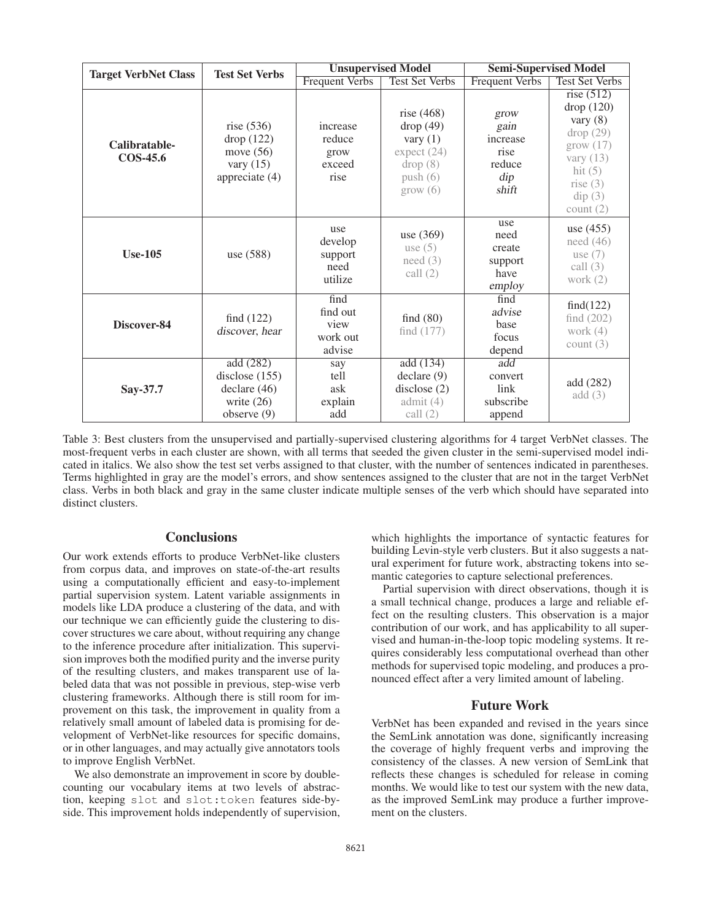| <b>Target VerbNet Class</b>      | <b>Test Set Verbs</b>                                                                  | <b>Unsupervised Model</b>                      |                                                                                              | <b>Semi-Supervised Model</b>                                        |                                                                                                                                          |
|----------------------------------|----------------------------------------------------------------------------------------|------------------------------------------------|----------------------------------------------------------------------------------------------|---------------------------------------------------------------------|------------------------------------------------------------------------------------------------------------------------------------------|
|                                  |                                                                                        | <b>Frequent Verbs</b>                          | <b>Test Set Verbs</b>                                                                        | <b>Frequent Verbs</b>                                               | <b>Test Set Verbs</b>                                                                                                                    |
| Calibratable-<br><b>COS-45.6</b> | rise $(536)$<br>drop (122)<br>move $(56)$<br>vary $(15)$<br>appreciate (4)             | increase<br>reduce<br>grow<br>exceed<br>rise   | rise $(468)$<br>drop(49)<br>vary $(1)$<br>expect (24)<br>drop(8)<br>push(6)<br>$\rm grow(6)$ | grow<br>gain<br>increase<br>rise<br>reduce<br>$\text{dip}$<br>shift | rise $(512)$<br>drop(120)<br>vary $(8)$<br>drop(29)<br>grow(17)<br>vary $(13)$<br>hit $(5)$<br>rise $(3)$<br>$\text{dip}(3)$<br>count(2) |
| <b>Use-105</b>                   | use (588)                                                                              | use<br>develop<br>support<br>need<br>utilize   | use (369)<br>use $(5)$<br>need(3)<br>call $(2)$                                              | use<br>need<br>create<br>support<br>have<br>employ                  | use (455)<br>need $(46)$<br>use $(7)$<br>call $(3)$<br>work $(2)$                                                                        |
| Discover-84                      | find $(122)$<br>discover, hear                                                         | find<br>find out<br>view<br>work out<br>advise | find $(80)$<br>find $(177)$                                                                  | find<br>advise<br>base<br>focus<br>depend                           | find(122)<br>find $(202)$<br>work $(4)$<br>count $(3)$                                                                                   |
| Say-37.7                         | add(282)<br>disclose $(155)$<br>$\text{ declare } (46)$<br>write $(26)$<br>observe (9) | say<br>tell<br>ask<br>explain<br>add           | add(134)<br>$\text{ declare } (9)$<br>disclose $(2)$<br>admit $(4)$<br>call $(2)$            | $\overline{\text{add}}$<br>convert<br>link<br>subscribe<br>append   | add (282)<br>add(3)                                                                                                                      |

Table 3: Best clusters from the unsupervised and partially-supervised clustering algorithms for 4 target VerbNet classes. The most-frequent verbs in each cluster are shown, with all terms that seeded the given cluster in the semi-supervised model indicated in italics. We also show the test set verbs assigned to that cluster, with the number of sentences indicated in parentheses. Terms highlighted in gray are the model's errors, and show sentences assigned to the cluster that are not in the target VerbNet class. Verbs in both black and gray in the same cluster indicate multiple senses of the verb which should have separated into distinct clusters.

## **Conclusions**

Our work extends efforts to produce VerbNet-like clusters from corpus data, and improves on state-of-the-art results using a computationally efficient and easy-to-implement partial supervision system. Latent variable assignments in models like LDA produce a clustering of the data, and with our technique we can efficiently guide the clustering to discover structures we care about, without requiring any change to the inference procedure after initialization. This supervision improves both the modified purity and the inverse purity of the resulting clusters, and makes transparent use of labeled data that was not possible in previous, step-wise verb clustering frameworks. Although there is still room for improvement on this task, the improvement in quality from a relatively small amount of labeled data is promising for development of VerbNet-like resources for specific domains, or in other languages, and may actually give annotators tools to improve English VerbNet.

We also demonstrate an improvement in score by doublecounting our vocabulary items at two levels of abstraction, keeping slot and slot:token features side-byside. This improvement holds independently of supervision,

which highlights the importance of syntactic features for building Levin-style verb clusters. But it also suggests a natural experiment for future work, abstracting tokens into semantic categories to capture selectional preferences.

Partial supervision with direct observations, though it is a small technical change, produces a large and reliable effect on the resulting clusters. This observation is a major contribution of our work, and has applicability to all supervised and human-in-the-loop topic modeling systems. It requires considerably less computational overhead than other methods for supervised topic modeling, and produces a pronounced effect after a very limited amount of labeling.

#### Future Work

VerbNet has been expanded and revised in the years since the SemLink annotation was done, significantly increasing the coverage of highly frequent verbs and improving the consistency of the classes. A new version of SemLink that reflects these changes is scheduled for release in coming months. We would like to test our system with the new data, as the improved SemLink may produce a further improvement on the clusters.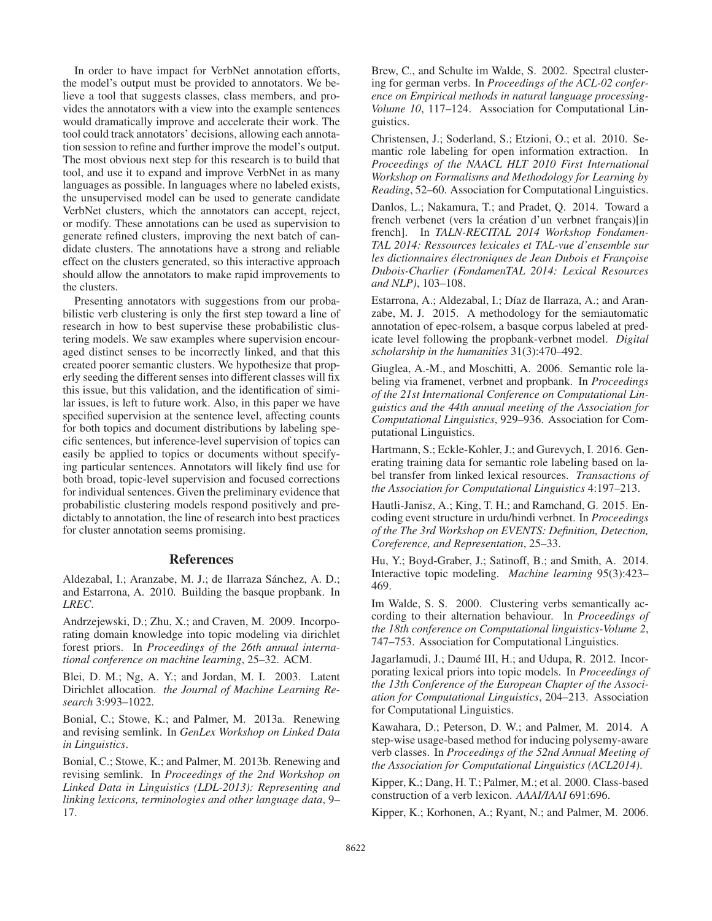In order to have impact for VerbNet annotation efforts, the model's output must be provided to annotators. We believe a tool that suggests classes, class members, and provides the annotators with a view into the example sentences would dramatically improve and accelerate their work. The tool could track annotators' decisions, allowing each annotation session to refine and further improve the model's output. The most obvious next step for this research is to build that tool, and use it to expand and improve VerbNet in as many languages as possible. In languages where no labeled exists, the unsupervised model can be used to generate candidate VerbNet clusters, which the annotators can accept, reject, or modify. These annotations can be used as supervision to generate refined clusters, improving the next batch of candidate clusters. The annotations have a strong and reliable effect on the clusters generated, so this interactive approach should allow the annotators to make rapid improvements to the clusters.

Presenting annotators with suggestions from our probabilistic verb clustering is only the first step toward a line of research in how to best supervise these probabilistic clustering models. We saw examples where supervision encouraged distinct senses to be incorrectly linked, and that this created poorer semantic clusters. We hypothesize that properly seeding the different senses into different classes will fix this issue, but this validation, and the identification of similar issues, is left to future work. Also, in this paper we have specified supervision at the sentence level, affecting counts for both topics and document distributions by labeling specific sentences, but inference-level supervision of topics can easily be applied to topics or documents without specifying particular sentences. Annotators will likely find use for both broad, topic-level supervision and focused corrections for individual sentences. Given the preliminary evidence that probabilistic clustering models respond positively and predictably to annotation, the line of research into best practices for cluster annotation seems promising.

## References

Aldezabal, I.; Aranzabe, M. J.; de Ilarraza Sánchez, A. D.; and Estarrona, A. 2010. Building the basque propbank. In *LREC*.

Andrzejewski, D.; Zhu, X.; and Craven, M. 2009. Incorporating domain knowledge into topic modeling via dirichlet forest priors. In *Proceedings of the 26th annual international conference on machine learning*, 25–32. ACM.

Blei, D. M.; Ng, A. Y.; and Jordan, M. I. 2003. Latent Dirichlet allocation. *the Journal of Machine Learning Research* 3:993–1022.

Bonial, C.; Stowe, K.; and Palmer, M. 2013a. Renewing and revising semlink. In *GenLex Workshop on Linked Data in Linguistics*.

Bonial, C.; Stowe, K.; and Palmer, M. 2013b. Renewing and revising semlink. In *Proceedings of the 2nd Workshop on Linked Data in Linguistics (LDL-2013): Representing and linking lexicons, terminologies and other language data*, 9– 17.

Brew, C., and Schulte im Walde, S. 2002. Spectral clustering for german verbs. In *Proceedings of the ACL-02 conference on Empirical methods in natural language processing-Volume 10*, 117–124. Association for Computational Linguistics.

Christensen, J.; Soderland, S.; Etzioni, O.; et al. 2010. Semantic role labeling for open information extraction. In *Proceedings of the NAACL HLT 2010 First International Workshop on Formalisms and Methodology for Learning by Reading*, 52–60. Association for Computational Linguistics.

Danlos, L.; Nakamura, T.; and Pradet, Q. 2014. Toward a french verbenet (vers la création d'un verbnet français)[in french]. In *TALN-RECITAL 2014 Workshop Fondamen-TAL 2014: Ressources lexicales et TAL-vue d'ensemble sur les dictionnaires electroniques de Jean Dubois et Franc ´ ¸oise Dubois-Charlier (FondamenTAL 2014: Lexical Resources and NLP)*, 103–108.

Estarrona, A.; Aldezabal, I.; Díaz de Ilarraza, A.; and Aranzabe, M. J. 2015. A methodology for the semiautomatic annotation of epec-rolsem, a basque corpus labeled at predicate level following the propbank-verbnet model. *Digital scholarship in the humanities* 31(3):470–492.

Giuglea, A.-M., and Moschitti, A. 2006. Semantic role labeling via framenet, verbnet and propbank. In *Proceedings of the 21st International Conference on Computational Linguistics and the 44th annual meeting of the Association for Computational Linguistics*, 929–936. Association for Computational Linguistics.

Hartmann, S.; Eckle-Kohler, J.; and Gurevych, I. 2016. Generating training data for semantic role labeling based on label transfer from linked lexical resources. *Transactions of the Association for Computational Linguistics* 4:197–213.

Hautli-Janisz, A.; King, T. H.; and Ramchand, G. 2015. Encoding event structure in urdu/hindi verbnet. In *Proceedings of the The 3rd Workshop on EVENTS: Definition, Detection, Coreference, and Representation*, 25–33.

Hu, Y.; Boyd-Graber, J.; Satinoff, B.; and Smith, A. 2014. Interactive topic modeling. *Machine learning* 95(3):423– 469.

Im Walde, S. S. 2000. Clustering verbs semantically according to their alternation behaviour. In *Proceedings of the 18th conference on Computational linguistics-Volume 2*, 747–753. Association for Computational Linguistics.

Jagarlamudi, J.; Daumé III, H.; and Udupa, R. 2012. Incorporating lexical priors into topic models. In *Proceedings of the 13th Conference of the European Chapter of the Association for Computational Linguistics*, 204–213. Association for Computational Linguistics.

Kawahara, D.; Peterson, D. W.; and Palmer, M. 2014. A step-wise usage-based method for inducing polysemy-aware verb classes. In *Proceedings of the 52nd Annual Meeting of the Association for Computational Linguistics (ACL2014)*.

Kipper, K.; Dang, H. T.; Palmer, M.; et al. 2000. Class-based construction of a verb lexicon. *AAAI/IAAI* 691:696.

Kipper, K.; Korhonen, A.; Ryant, N.; and Palmer, M. 2006.